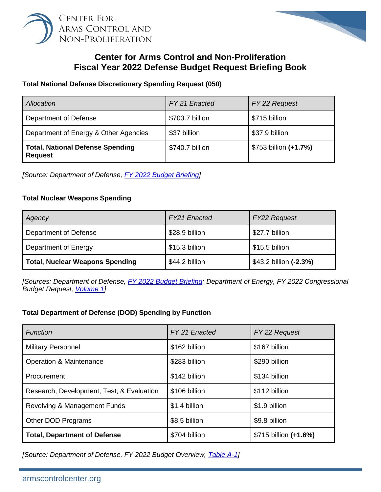



# **Center for Arms Control and Non-Proliferation Fiscal Year 2022 Defense Budget Request Briefing Book**

## **Total National Defense Discretionary Spending Request (050)**

| Allocation                                                | FY 21 Enacted   | FY 22 Request         |
|-----------------------------------------------------------|-----------------|-----------------------|
| Department of Defense                                     | \$703.7 billion | \$715 billion         |
| Department of Energy & Other Agencies                     | \$37 billion    | \$37.9 billion        |
| <b>Total, National Defense Spending</b><br><b>Request</b> | \$740.7 billion | \$753 billion (+1.7%) |

*[Source: Department of Defense, [FY 2022 Budget Briefing\]](https://comptroller.defense.gov/Portals/45/Documents/defbudget/FY2022/FY2022_Budget_Request.pdf#page=4)*

## **Total Nuclear Weapons Spending**

| Agency                                 | <b>FY21</b> Enacted | <b>FY22 Request</b>    |
|----------------------------------------|---------------------|------------------------|
| Department of Defense                  | \$28.9 billion      | \$27.7 billion         |
| <b>Department of Energy</b>            | \$15.3 billion      | \$15.5 billion         |
| <b>Total, Nuclear Weapons Spending</b> | \$44.2 billion      | \$43.2 billion (-2.3%) |

*[Sources: Department of Defense, [FY 2022 Budget Briefing;](https://comptroller.defense.gov/Portals/45/Documents/defbudget/FY2022/FY2022_Budget_Request.pdf#page=8) Department of Energy, FY 2022 Congressional Budget Request, [Volume 1\]](https://www.energy.gov/sites/default/files/2021-05/doe-fy2022-budget-volume-1.pdf#page=7)*

# **Total Department of Defense (DOD) Spending by Function**

| <b>Function</b>                           | FY 21 Enacted | FY 22 Request         |
|-------------------------------------------|---------------|-----------------------|
| <b>Military Personnel</b>                 | \$162 billion | \$167 billion         |
| <b>Operation &amp; Maintenance</b>        | \$283 billion | \$290 billion         |
| Procurement                               | \$142 billion | \$134 billion         |
| Research, Development, Test, & Evaluation | \$106 billion | \$112 billion         |
| Revolving & Management Funds              | \$1.4 billion | \$1.9 billion         |
| Other DOD Programs                        | \$8.5 billion | \$9.8 billion         |
| <b>Total, Department of Defense</b>       | \$704 billion | \$715 billion (+1.6%) |

*[Source: Department of Defense, FY 2022 Budget Overview, [Table A-1\]](https://comptroller.defense.gov/Portals/45/Documents/defbudget/FY2022/FY2022_Budget_Request_Overview_Book.pdf#page=136)*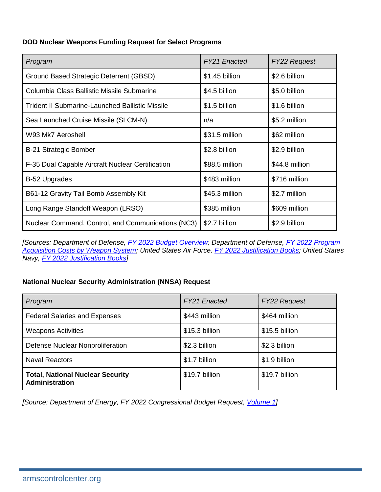#### **DOD Nuclear Weapons Funding Request for Select Programs**

| Program                                                | FY21 Enacted   | <b>FY22 Request</b> |
|--------------------------------------------------------|----------------|---------------------|
| Ground Based Strategic Deterrent (GBSD)                | \$1.45 billion | \$2.6 billion       |
| Columbia Class Ballistic Missile Submarine             | \$4.5 billion  | \$5.0 billion       |
| <b>Trident II Submarine-Launched Ballistic Missile</b> | \$1.5 billion  | \$1.6 billion       |
| Sea Launched Cruise Missile (SLCM-N)                   | n/a            | \$5.2 million       |
| W93 Mk7 Aeroshell                                      | \$31.5 million | \$62 million        |
| <b>B-21 Strategic Bomber</b>                           | \$2.8 billion  | \$2.9 billion       |
| F-35 Dual Capable Aircraft Nuclear Certification       | \$88.5 million | \$44.8 million      |
| <b>B-52 Upgrades</b>                                   | \$483 million  | \$716 million       |
| B61-12 Gravity Tail Bomb Assembly Kit                  | \$45.3 million | \$2.7 million       |
| Long Range Standoff Weapon (LRSO)                      | \$385 million  | \$609 million       |
| Nuclear Command, Control, and Communications (NC3)     | \$2.7 billion  | \$2.9 billion       |

*[Sources: Department of Defense, [FY 2022 Budget Overview;](https://comptroller.defense.gov/Portals/45/Documents/defbudget/FY2022/FY2022_Budget_Request_Overview_Book.pdf) Department of Defense, [FY 2022 Program](https://comptroller.defense.gov/Portals/45/Documents/defbudget/FY2022/FY2022_Weapons.pdf)  [Acquisition Costs by Weapon System;](https://comptroller.defense.gov/Portals/45/Documents/defbudget/FY2022/FY2022_Weapons.pdf) United States Air Force, [FY 2022 Justification Books;](https://www.saffm.hq.af.mil/FM-Resources/Budget/) United States Navy, [FY 2022 Justification Books\]](https://www.secnav.navy.mil/fmc/fmb/Pages/Fiscal-Year-2022.aspx)*

# **National Nuclear Security Administration (NNSA) Request**

| Program                                                          | <b>FY21</b> Enacted | <b>FY22 Request</b> |
|------------------------------------------------------------------|---------------------|---------------------|
| <b>Federal Salaries and Expenses</b>                             | \$443 million       | \$464 million       |
| <b>Weapons Activities</b>                                        | \$15.3 billion      | \$15.5 billion      |
| Defense Nuclear Nonproliferation                                 | \$2.3 billion       | \$2.3 billion       |
| <b>Naval Reactors</b>                                            | \$1.7 billion       | \$1.9 billion       |
| <b>Total, National Nuclear Security</b><br><b>Administration</b> | \$19.7 billion      | \$19.7 billion      |

*[Source: Department of Energy, FY 2022 Congressional Budget Request, [Volume 1\]](https://www.energy.gov/sites/default/files/2021-05/doe-fy2022-budget-volume-1.pdf#page=7)*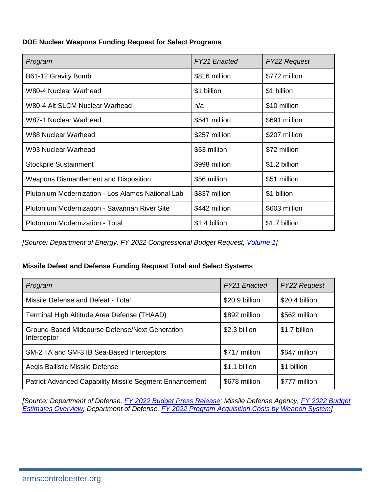**DOE Nuclear Weapons Funding Request for Select Programs**

| Program                                           | FY21 Enacted  | <b>FY22 Request</b> |
|---------------------------------------------------|---------------|---------------------|
| B61-12 Gravity Bomb                               | \$816 million | \$772 million       |
| W80-4 Nuclear Warhead                             | \$1 billion   | \$1 billion         |
| W80-4 Alt SLCM Nuclear Warhead                    | n/a           | \$10 million        |
| W87-1 Nuclear Warhead                             | \$541 million | \$691 million       |
| W88 Nuclear Warhead                               | \$257 million | \$207 million       |
| W93 Nuclear Warhead                               | \$53 million  | \$72 million        |
| <b>Stockpile Sustainment</b>                      | \$998 million | \$1.2 billion       |
| Weapons Dismantlement and Disposition             | \$56 million  | \$51 million        |
| Plutonium Modernization - Los Alamos National Lab | \$837 million | \$1 billion         |
| Plutonium Modernization - Savannah River Site     | \$442 million | \$603 million       |
| Plutonium Modernization - Total                   | \$1.4 billion | \$1.7 billion       |

*[Source: Department of Energy, FY 2022 Congressional Budget Request, [Volume 1\]](https://www.energy.gov/sites/default/files/2021-05/doe-fy2022-budget-volume-1.pdf#page=125)*

# **Missile Defeat and Defense Funding Request Total and Select Systems**

| Program                                                        | FY21 Enacted   | <b>FY22 Request</b> |
|----------------------------------------------------------------|----------------|---------------------|
| Missile Defense and Defeat - Total                             | \$20.9 billion | \$20.4 billion      |
| Terminal High Altitude Area Defense (THAAD)                    | \$892 million  | \$562 million       |
| Ground-Based Midcourse Defense/Next Generation<br>Interceptor  | \$2.3 billion  | \$1.7 billion       |
| SM-2 IIA and SM-3 IB Sea-Based Interceptors                    | \$717 million  | \$647 million       |
| Aegis Ballistic Missile Defense                                | \$1.1 billion  | \$1 billion         |
| <b>Patriot Advanced Capability Missile Segment Enhancement</b> | \$678 million  | \$777 million       |

*[Source: Department of Defense, [FY 2022 Budget Press Release;](https://comptroller.defense.gov/Portals/45/Documents/defbudget/FY2022/FY2022_Press_Release.pdf) Missile Defense Agency, [FY 2022 Budget](https://www.mda.mil/global/documents/pdf/Budget%20Overview%20FY22%20Booklet%20-%20FINAL.pdf)  [Estimates Overview;](https://www.mda.mil/global/documents/pdf/Budget%20Overview%20FY22%20Booklet%20-%20FINAL.pdf) Department of Defense, [FY 2022 Program Acquisition Costs by Weapon System\]](https://comptroller.defense.gov/Portals/45/Documents/defbudget/FY2022/FY2022_Weapons.pdf)*